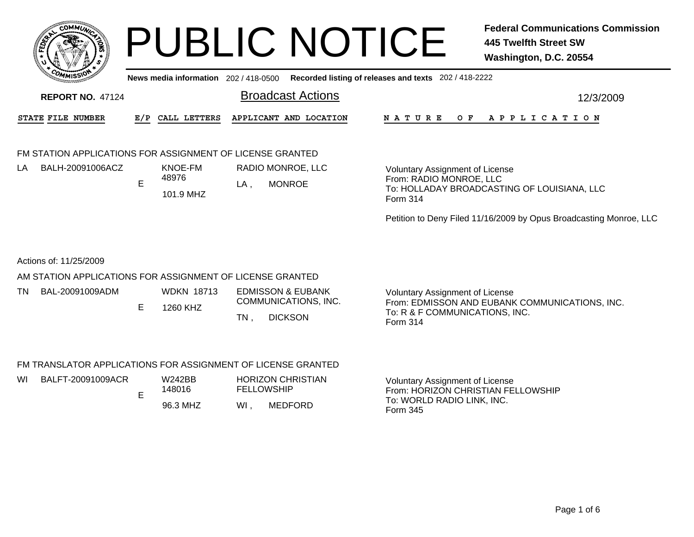

**News media information** 202 / 418-0500**Recorded listing of releases and texts** 202 / 418-2222

| <b>REPORT NO. 47124</b>  |  | Broadcast Actions                       |  |  |                       |  |  |  |
|--------------------------|--|-----------------------------------------|--|--|-----------------------|--|--|--|
| <b>STATE FILE NUMBER</b> |  | E/P CALL LETTERS APPLICANT AND LOCATION |  |  | NATURE OF APPLICATION |  |  |  |

## FM STATION APPLICATIONS FOR ASSIGNMENT OF LICENSE GRANTED

| ΙA | BALH-20091006ACZ | KNOE-FM   |      | RADIO MONROE, LLC |
|----|------------------|-----------|------|-------------------|
|    |                  | 48976     | LA . | MONROE            |
|    |                  | 101.9 MHZ |      |                   |

Voluntary Assignment of License From: RADIO MONROE, LLC To: HOLLADAY BROADCASTING OF LOUISIANA, LLC Form 314

Petition to Deny Filed 11/16/2009 by Opus Broadcasting Monroe, LLC

## Actions of: 11/25/2009

## AM STATION APPLICATIONS FOR ASSIGNMENT OF LICENSE GRANTED

| ΤN<br><b>WDKN 18713</b><br>BAL-20091009ADM<br>EDMISSON & EUBANK<br>COMMUNICATIONS, INC.<br>1260 KHZ<br>TN<br><b>DICKSON</b> | Voluntary Assignment of License<br>From: EDMISSON AND EUBANK COMMUNICATIONS, INC.<br>To: R & F COMMUNICATIONS, INC.<br>Form 314 |
|-----------------------------------------------------------------------------------------------------------------------------|---------------------------------------------------------------------------------------------------------------------------------|
|-----------------------------------------------------------------------------------------------------------------------------|---------------------------------------------------------------------------------------------------------------------------------|

## FM TRANSLATOR APPLICATIONS FOR ASSIGNMENT OF LICENSE GRANTED

| WI | BALFT-20091009ACR | W242BB<br>148016 |    | <b>HORIZON CHRISTIAN</b><br><b>FELLOWSHIP</b> | Voluntary Assignment of License<br>From: HORIZON CHRISTIAN FELLOWSHIP |
|----|-------------------|------------------|----|-----------------------------------------------|-----------------------------------------------------------------------|
|    |                   | 96.3 MHZ         | WI | MEDFORD                                       | To: WORLD RADIO LINK, INC.<br>Form 345                                |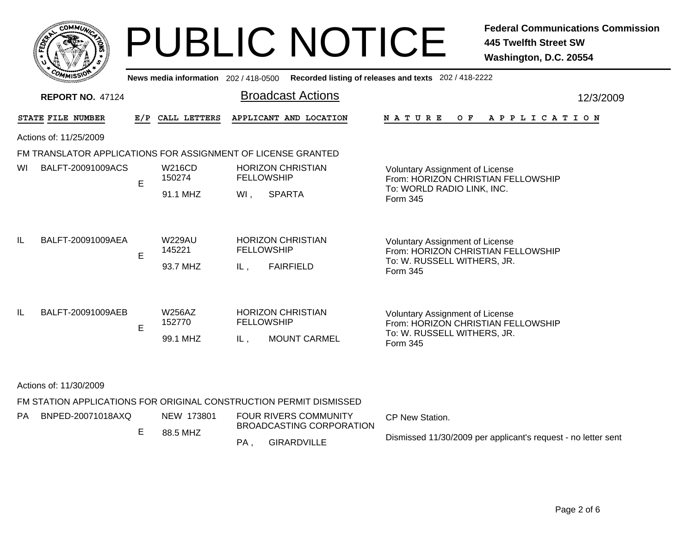|     | COI        | <b>MMUNA</b><br>¢ |        |
|-----|------------|-------------------|--------|
| ឆ្ន |            |                   | ٠<br>磊 |
|     |            |                   |        |
|     | COM<br>--- | MISS              |        |

|                         | <b>COMMISSION</b>                                            |                         |                                     |                                                                 | News media information 202 / 418-0500 Recorded listing of releases and texts 202 / 418-2222 |                                                                                                                         |           |
|-------------------------|--------------------------------------------------------------|-------------------------|-------------------------------------|-----------------------------------------------------------------|---------------------------------------------------------------------------------------------|-------------------------------------------------------------------------------------------------------------------------|-----------|
|                         | <b>REPORT NO. 47124</b>                                      |                         |                                     |                                                                 | <b>Broadcast Actions</b>                                                                    |                                                                                                                         | 12/3/2009 |
|                         | STATE FILE NUMBER                                            |                         | E/P CALL LETTERS                    |                                                                 | APPLICANT AND LOCATION                                                                      | A P P L I C A T I O N<br>N A T U R E<br>O F                                                                             |           |
|                         | Actions of: 11/25/2009                                       |                         |                                     |                                                                 |                                                                                             |                                                                                                                         |           |
|                         | FM TRANSLATOR APPLICATIONS FOR ASSIGNMENT OF LICENSE GRANTED |                         |                                     |                                                                 |                                                                                             |                                                                                                                         |           |
| WI<br>BALFT-20091009ACS | E                                                            | <b>W216CD</b><br>150274 |                                     | <b>HORIZON CHRISTIAN</b><br><b>FELLOWSHIP</b>                   | <b>Voluntary Assignment of License</b><br>From: HORIZON CHRISTIAN FELLOWSHIP                |                                                                                                                         |           |
|                         |                                                              |                         | 91.1 MHZ                            | $WI$ ,                                                          | <b>SPARTA</b>                                                                               | To: WORLD RADIO LINK, INC.<br>Form 345                                                                                  |           |
| IL.                     | BALFT-20091009AEA                                            | E                       | <b>W229AU</b><br>145221<br>93.7 MHZ | IL,                                                             | <b>HORIZON CHRISTIAN</b><br><b>FELLOWSHIP</b><br><b>FAIRFIELD</b>                           | <b>Voluntary Assignment of License</b><br>From: HORIZON CHRISTIAN FELLOWSHIP<br>To: W. RUSSELL WITHERS, JR.<br>Form 345 |           |
| IL.                     | BALFT-20091009AEB                                            | E.                      | <b>W256AZ</b><br>152770<br>99.1 MHZ | IL,                                                             | <b>HORIZON CHRISTIAN</b><br><b>FELLOWSHIP</b><br><b>MOUNT CARMEL</b>                        | <b>Voluntary Assignment of License</b><br>From: HORIZON CHRISTIAN FELLOWSHIP<br>To: W. RUSSELL WITHERS, JR.<br>Form 345 |           |
|                         | Actions of: 11/30/2009                                       |                         |                                     |                                                                 |                                                                                             |                                                                                                                         |           |
|                         |                                                              |                         |                                     |                                                                 | FM STATION APPLICATIONS FOR ORIGINAL CONSTRUCTION PERMIT DISMISSED                          |                                                                                                                         |           |
| РA                      | BNPED-20071018AXQ                                            | E                       | NEW 173801                          | <b>FOUR RIVERS COMMUNITY</b><br><b>BROADCASTING CORPORATION</b> |                                                                                             | CP New Station.                                                                                                         |           |
|                         |                                                              |                         | 88.5 MHZ                            | PA.                                                             | <b>GIRARDVILLE</b>                                                                          | Dismissed 11/30/2009 per applicant's request - no letter sent                                                           |           |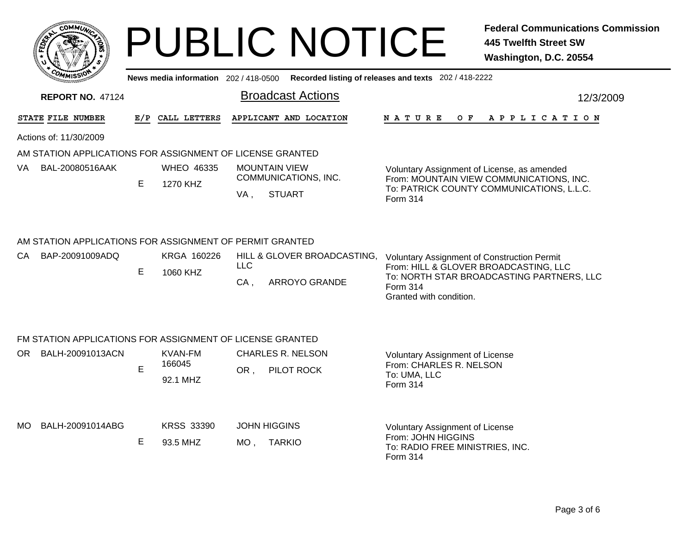|   | CO <sub>1</sub><br><b>MMUNT</b> | ્ર |
|---|---------------------------------|----|
| Š |                                 | ŗ, |
|   |                                 |    |
|   | COM<br>MISS'<br>---             |    |

**News media information** 202 / 418-0500**Recorded listing of releases and texts** 202 / 418-2222

| <b>REPORT NO. 47124</b>                                   |                                                                                                                                               |                    |                      |                                       |                                                                                                   |  |     |  |                       |  | 12/3/2009 |  |  |  |  |
|-----------------------------------------------------------|-----------------------------------------------------------------------------------------------------------------------------------------------|--------------------|----------------------|---------------------------------------|---------------------------------------------------------------------------------------------------|--|-----|--|-----------------------|--|-----------|--|--|--|--|
| STATE FILE NUMBER                                         | E/P                                                                                                                                           | CALL LETTERS       |                      | APPLICANT AND LOCATION                | N A T U R E                                                                                       |  | O F |  | A P P L I C A T I O N |  |           |  |  |  |  |
| Actions of: 11/30/2009                                    |                                                                                                                                               |                    |                      |                                       |                                                                                                   |  |     |  |                       |  |           |  |  |  |  |
| AM STATION APPLICATIONS FOR ASSIGNMENT OF LICENSE GRANTED |                                                                                                                                               |                    |                      |                                       |                                                                                                   |  |     |  |                       |  |           |  |  |  |  |
| VA<br>BAL-20080516AAK                                     |                                                                                                                                               | <b>WHEO 46335</b>  | <b>MOUNTAIN VIEW</b> |                                       | Voluntary Assignment of License, as amended                                                       |  |     |  |                       |  |           |  |  |  |  |
|                                                           | E.                                                                                                                                            | 1270 KHZ           | VA,                  | COMMUNICATIONS, INC.<br><b>STUART</b> | From: MOUNTAIN VIEW COMMUNICATIONS, INC.<br>To: PATRICK COUNTY COMMUNICATIONS, L.L.C.<br>Form 314 |  |     |  |                       |  |           |  |  |  |  |
| AM STATION APPLICATIONS FOR ASSIGNMENT OF PERMIT GRANTED  |                                                                                                                                               |                    |                      |                                       |                                                                                                   |  |     |  |                       |  |           |  |  |  |  |
| CA BAP-20091009ADQ                                        |                                                                                                                                               | KRGA 160226        |                      | HILL & GLOVER BROADCASTING,           | <b>Voluntary Assignment of Construction Permit</b>                                                |  |     |  |                       |  |           |  |  |  |  |
|                                                           | <b>LLC</b><br>From: HILL & GLOVER BROADCASTING, LLC<br>Е<br>1060 KHZ<br>$CA$ ,<br><b>ARROYO GRANDE</b><br>Form 314<br>Granted with condition. |                    |                      |                                       | To: NORTH STAR BROADCASTING PARTNERS, LLC                                                         |  |     |  |                       |  |           |  |  |  |  |
| FM STATION APPLICATIONS FOR ASSIGNMENT OF LICENSE GRANTED |                                                                                                                                               |                    |                      |                                       |                                                                                                   |  |     |  |                       |  |           |  |  |  |  |
| OR BALH-20091013ACN                                       |                                                                                                                                               | <b>KVAN-FM</b>     |                      | <b>CHARLES R. NELSON</b>              | <b>Voluntary Assignment of License</b>                                                            |  |     |  |                       |  |           |  |  |  |  |
|                                                           | E.                                                                                                                                            | 166045<br>92.1 MHZ | OR,                  | PILOT ROCK                            | From: CHARLES R. NELSON<br>To: UMA, LLC<br><b>Form 314</b>                                        |  |     |  |                       |  |           |  |  |  |  |
| MO<br>BALH-20091014ABG                                    |                                                                                                                                               | <b>KRSS 33390</b>  | <b>JOHN HIGGINS</b>  |                                       | <b>Voluntary Assignment of License</b>                                                            |  |     |  |                       |  |           |  |  |  |  |
|                                                           | Е                                                                                                                                             | 93.5 MHZ           | $MO$ ,               | <b>TARKIO</b>                         | From: JOHN HIGGINS<br>To: RADIO FREE MINISTRIES, INC.<br>Form 314                                 |  |     |  |                       |  |           |  |  |  |  |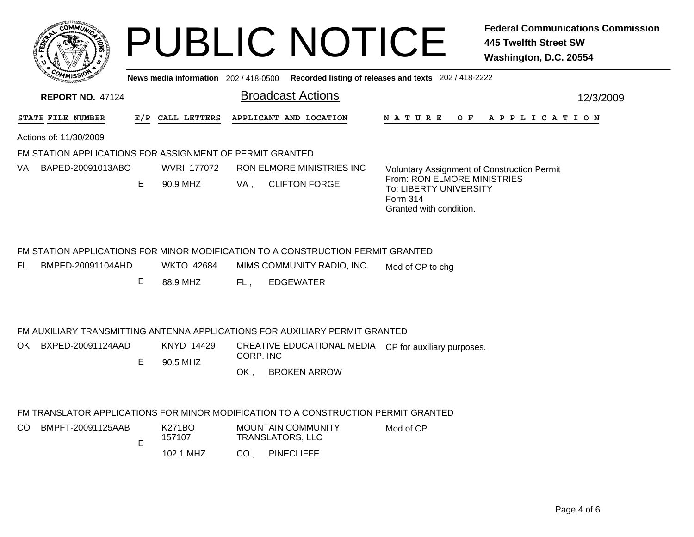|      | c.Ol             | <b>MMUNT</b>  |    |  |
|------|------------------|---------------|----|--|
| FEDE |                  |               | ્ર |  |
|      |                  |               |    |  |
|      | CO <sub>MI</sub> | MISS'<br>mune |    |  |

**News media information** 202 / 418-0500**Recorded listing of releases and texts** 202 / 418-2222

| <b>REPORT NO. 47124</b> |                                                          |                    |                   | <b>Broadcast Actions</b> | 12/3/2009                                                                       |                                                                                                     |  |  |  |  |
|-------------------------|----------------------------------------------------------|--------------------|-------------------|--------------------------|---------------------------------------------------------------------------------|-----------------------------------------------------------------------------------------------------|--|--|--|--|
|                         | STATE FILE NUMBER                                        | E/P                | CALL LETTERS      |                          | APPLICANT AND LOCATION                                                          | N A T U R E<br>O F<br>A P P L I C A T I O N                                                         |  |  |  |  |
|                         | Actions of: 11/30/2009                                   |                    |                   |                          |                                                                                 |                                                                                                     |  |  |  |  |
|                         | FM STATION APPLICATIONS FOR ASSIGNMENT OF PERMIT GRANTED |                    |                   |                          |                                                                                 |                                                                                                     |  |  |  |  |
| VA.                     | BAPED-20091013ABO                                        | <b>WVRI 177072</b> |                   |                          | <b>RON ELMORE MINISTRIES INC</b>                                                | <b>Voluntary Assignment of Construction Permit</b>                                                  |  |  |  |  |
|                         |                                                          | E                  | 90.9 MHZ          | VA.                      | <b>CLIFTON FORGE</b>                                                            | From: RON ELMORE MINISTRIES<br><b>To: LIBERTY UNIVERSITY</b><br>Form 314<br>Granted with condition. |  |  |  |  |
|                         |                                                          |                    |                   |                          | FM STATION APPLICATIONS FOR MINOR MODIFICATION TO A CONSTRUCTION PERMIT GRANTED |                                                                                                     |  |  |  |  |
| FL.                     | BMPED-20091104AHD                                        |                    | <b>WKTO 42684</b> |                          | MIMS COMMUNITY RADIO, INC.                                                      | Mod of CP to chg                                                                                    |  |  |  |  |
|                         |                                                          | Е                  | 88.9 MHZ          | FL,                      | <b>EDGEWATER</b>                                                                |                                                                                                     |  |  |  |  |

### FM AUXILIARY TRANSMITTING ANTENNA APPLICATIONS FOR AUXILIARY PERMIT GRANTED

OK , BROKEN ARROW E 90.5 MHZCREATIVE EDUCATIONAL MEDIA CP for auxiliary purposes. CORP. INCOK BXPED-20091124AADKNYD 14429

### FM TRANSLATOR APPLICATIONS FOR MINOR MODIFICATION TO A CONSTRUCTION PERMIT GRANTED

| CO. | BMPFT-20091125AAB | F | K271BO<br>157107 | <b>MOUNTAIN COMMUNITY</b><br>TRANSLATORS. LLC | Mod of CP |
|-----|-------------------|---|------------------|-----------------------------------------------|-----------|
|     |                   | − | 102.1 MHZ        | <b>PINECLIFFE</b><br>CO.                      |           |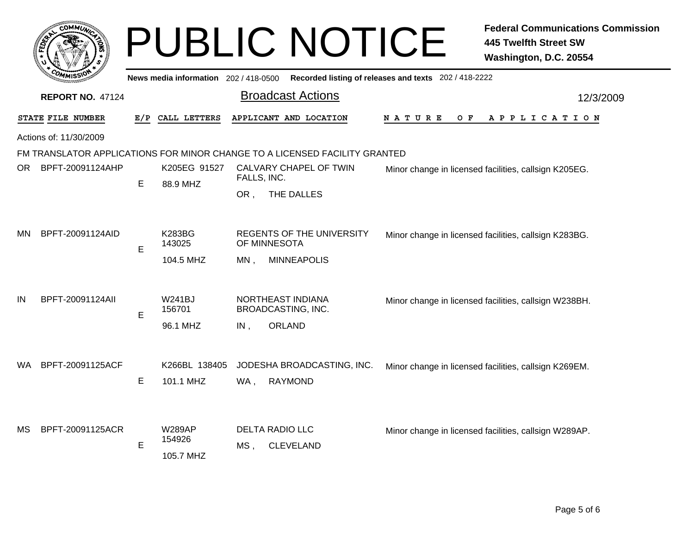|     | <b>COMMUT</b>           |     |                                       |             | <b>PUBLIC NOTICE</b>                                                       |                                                       | <b>Federal Communications Commission</b><br><b>445 Twelfth Street SW</b><br>Washington, D.C. 20554 |
|-----|-------------------------|-----|---------------------------------------|-------------|----------------------------------------------------------------------------|-------------------------------------------------------|----------------------------------------------------------------------------------------------------|
|     |                         |     | News media information 202 / 418-0500 |             |                                                                            | Recorded listing of releases and texts 202 / 418-2222 |                                                                                                    |
|     | <b>REPORT NO. 47124</b> |     |                                       |             | <b>Broadcast Actions</b>                                                   |                                                       | 12/3/2009                                                                                          |
|     | STATE FILE NUMBER       | E/P | CALL LETTERS                          |             | APPLICANT AND LOCATION                                                     | <b>NATURE</b><br>O F                                  | APPLICATION                                                                                        |
|     | Actions of: 11/30/2009  |     |                                       |             |                                                                            |                                                       |                                                                                                    |
|     |                         |     |                                       |             | FM TRANSLATOR APPLICATIONS FOR MINOR CHANGE TO A LICENSED FACILITY GRANTED |                                                       |                                                                                                    |
| OR. | BPFT-20091124AHP        | Е   | K205EG 91527<br>88.9 MHZ              | FALLS, INC. | CALVARY CHAPEL OF TWIN                                                     |                                                       | Minor change in licensed facilities, callsign K205EG.                                              |
|     |                         |     |                                       | OR,         | THE DALLES                                                                 |                                                       |                                                                                                    |
| MN. | BPFT-20091124AID        | E   | <b>K283BG</b><br>143025               |             | REGENTS OF THE UNIVERSITY<br>OF MINNESOTA                                  |                                                       | Minor change in licensed facilities, callsign K283BG.                                              |
|     |                         |     | 104.5 MHZ                             | MN.         | <b>MINNEAPOLIS</b>                                                         |                                                       |                                                                                                    |
| IN  | BPFT-20091124All        | E   | <b>W241BJ</b><br>156701               |             | NORTHEAST INDIANA<br>BROADCASTING, INC.                                    |                                                       | Minor change in licensed facilities, callsign W238BH.                                              |
|     |                         |     | 96.1 MHZ                              | IN,         | ORLAND                                                                     |                                                       |                                                                                                    |
| WA. | BPFT-20091125ACF        |     | K266BL 138405                         |             | JODESHA BROADCASTING, INC.                                                 |                                                       | Minor change in licensed facilities, callsign K269EM.                                              |
|     |                         | Е   | 101.1 MHZ                             | WA,         | <b>RAYMOND</b>                                                             |                                                       |                                                                                                    |
|     |                         |     |                                       |             |                                                                            |                                                       |                                                                                                    |
| МS  | BPFT-20091125ACR        | E   | <b>W289AP</b><br>154926<br>105.7 MHZ  | MS,         | <b>DELTA RADIO LLC</b><br><b>CLEVELAND</b>                                 |                                                       | Minor change in licensed facilities, callsign W289AP.                                              |